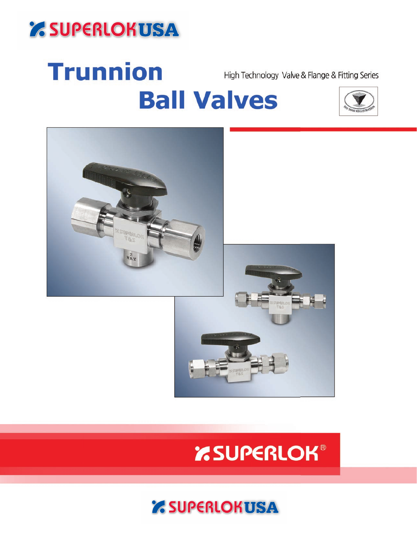# *' SUPERLOKUSA*

# Trunnion High Technology Valve & Flange & Fitting Series **Ball Valves**





# *'RSUPERLOK®*

## **Z SUPERLOKUSA**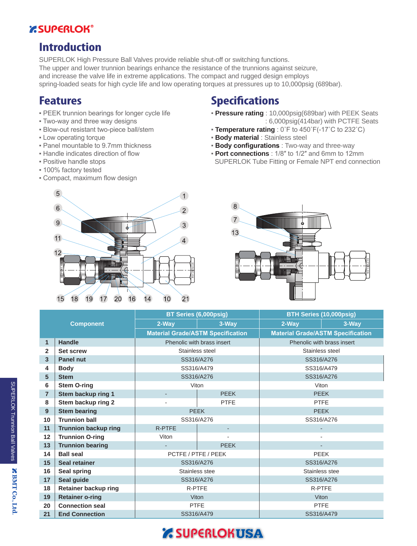### **EXSUPERLOK®**

### **Introduction**

SUPERLOK High Pressure Ball Valves provide reliable shut-off or switching functions. The upper and lower trunnion bearings enhance the resistance of the trunnions against seizure, and increase the valve life in extreme applications. The compact and rugged design employs spring-loaded seats for high cycle life and low operating torques at pressures up to 10,000psig (689bar).

### **Features**

- **PEEK trunnion bearings for longer cycle life**
- Two-way and three way designs
- Blow-out resistant two-piece ball/stem
- Low operating torque
- Panel mountable to 9.7mm thickness
- **.** Handle indicates direction of flow
- Positive handle stops
- 100% factory tested
- Compact, maximum flow design

### **Specifications**

- **Pressure rating** : 10,000psig(689bar) with PEEK Seats : 6,000psig(414bar) with PCTFE Seats
- **Temperature rating** : 0˚F to 450˚F(-17˚C to 232˚C)
- **Body material** : Stainless steel
- **Body configurations** : Two-way and three-way
- **Port connections** : 1/8″ to 1/2″ and 6mm to 12mm SUPERLOK Tube Fitting or Female NPT end connection





| <b>Component</b> |                             | BT Series (6,000psig)                    |                            | <b>BTH Series (10,000psig)</b>           |            |  |
|------------------|-----------------------------|------------------------------------------|----------------------------|------------------------------------------|------------|--|
|                  |                             | 2-Way                                    | 3-Way                      | 2-Way                                    | 3-Way      |  |
|                  |                             | <b>Material Grade/ASTM Specification</b> |                            | <b>Material Grade/ASTM Specification</b> |            |  |
| $\mathbf{1}$     | <b>Handle</b>               |                                          | Phenolic with brass insert | Phenolic with brass insert               |            |  |
| $\mathbf{2}$     | <b>Set screw</b>            | Stainless steel                          |                            | Stainless steel                          |            |  |
| $\overline{3}$   | <b>Panel nut</b>            | SS316/A276                               |                            | SS316/A276                               |            |  |
| 4                | <b>Body</b>                 | SS316/A479                               |                            | SS316/A479                               |            |  |
| 5                | <b>Stem</b>                 | SS316/A276                               |                            |                                          | SS316/A276 |  |
| 6                | <b>Stem O-ring</b>          | Viton                                    |                            | Viton                                    |            |  |
| $\overline{7}$   | Stem backup ring 1          |                                          | <b>PEEK</b>                | <b>PEEK</b>                              |            |  |
| 8                | Stem backup ring 2          | <b>PTFE</b><br><b>PTFE</b>               |                            |                                          |            |  |
| 9                | <b>Stem bearing</b>         | <b>PEEK</b>                              |                            | <b>PEEK</b>                              |            |  |
| 10               | <b>Trunnion ball</b>        | SS316/A276                               |                            | SS316/A276                               |            |  |
| 11               | <b>Trunnion backup ring</b> | <b>R-PTFE</b>                            |                            |                                          |            |  |
| 12               | <b>Trunnion O-ring</b>      | Viton                                    |                            |                                          |            |  |
| 13               | <b>Trunnion bearing</b>     |                                          | <b>PEEK</b>                |                                          |            |  |
| 14               | <b>Ball seal</b>            | PCTFE / PTFE / PEEK                      |                            | <b>PEEK</b>                              |            |  |
| 15               | <b>Seal retainer</b>        | SS316/A276                               |                            | SS316/A276                               |            |  |
| 16               | <b>Seal spring</b>          | Stainless stee                           |                            | Stainless stee                           |            |  |
| 17               | Seal guide                  | SS316/A276                               |                            | SS316/A276                               |            |  |
| 18               | <b>Retainer backup ring</b> | <b>R-PTFE</b>                            |                            | R-PTFE                                   |            |  |
| 19               | <b>Retainer o-ring</b>      | Viton                                    |                            | <b>Viton</b>                             |            |  |
| 20               | <b>Connection seal</b>      | <b>PTFE</b>                              |                            | <b>PTFE</b>                              |            |  |
| 21               | <b>End Connection</b>       | SS316/A479                               |                            | SS316/A479                               |            |  |

## *Z SUPERLOKUSA*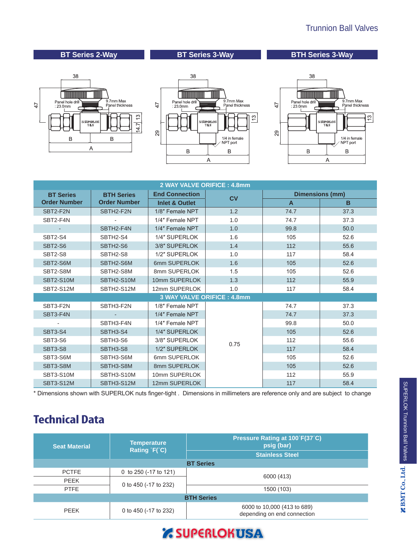### Trunnion Ball Valves

### **BT Series 2-Way BT Series 3-Way BTH Series 3-Way**







| 2 WAY VALVE ORIFICE: 4.8mm            |                          |                           |           |                        |      |  |  |
|---------------------------------------|--------------------------|---------------------------|-----------|------------------------|------|--|--|
| <b>BT Series</b><br><b>BTH Series</b> |                          | <b>End Connection</b>     | <b>CV</b> | <b>Dimensions (mm)</b> |      |  |  |
| <b>Order Number</b>                   | <b>Order Number</b>      | <b>Inlet &amp; Outlet</b> |           | $\mathsf{A}$           | B    |  |  |
| SBT2-F2N                              | SBTH2-F2N                | 1/8" Female NPT           | 1.2       | 74.7                   | 37.3 |  |  |
| SBT2-F4N                              | $\overline{\phantom{0}}$ | 1/4" Female NPT           | 1.0       | 74.7                   | 37.3 |  |  |
|                                       | SBTH2-F4N                | 1/4" Female NPT           | 1.0       | 99.8                   | 50.0 |  |  |
| SBT2-S4                               | SBTH2-S4                 | 1/4" SUPERLOK             | 1.6       | 105                    | 52.6 |  |  |
| <b>SBT2-S6</b>                        | SBTH2-S6                 | 3/8" SUPERLOK             | 1.4       | 112                    | 55.6 |  |  |
| SBT2-S8                               | SBTH2-S8                 | 1/2" SUPERLOK             | 1.0       | 117                    | 58.4 |  |  |
| SBT2-S6M                              | SBTH2-S6M                | 6mm SUPERLOK              | 1.6       | 105                    | 52.6 |  |  |
| SBT2-S8M                              | SBTH2-S8M                | 8mm SUPERLOK              |           | 105                    | 52.6 |  |  |
| <b>SBT2-S10M</b>                      | SBTH2-S10M               | 10mm SUPERLOK<br>1.3      |           | 112                    | 55.9 |  |  |
| <b>SBT2-S12M</b>                      | SBTH2-S12M               | 12mm SUPERLOK             | 1.0       | 117                    | 58.4 |  |  |
|                                       |                          |                           |           |                        |      |  |  |
| SBT3-F2N                              | SBTH3-F2N                | 1/8" Female NPT           |           | 74.7                   | 37.3 |  |  |
| SBT3-F4N                              |                          | 1/4" Female NPT           |           | 74.7                   | 37.3 |  |  |
|                                       | SBTH3-F4N                | 1/4" Female NPT           |           | 99.8                   | 50.0 |  |  |
| <b>SBT3-S4</b>                        | SBTH3-S4                 | 1/4" SUPERLOK             |           | 105                    | 52.6 |  |  |
| SBT3-S6                               | SBTH3-S6                 | 3/8" SUPERLOK             | 0.75      | 112                    | 55.6 |  |  |
| <b>SBT3-S8</b>                        | SBTH3-S8                 | 1/2" SUPERLOK             |           | 117                    | 58.4 |  |  |
| SBT3-S6M                              | SBTH3-S6M                | 6mm SUPERLOK              |           | 105                    | 52.6 |  |  |
| SBT3-S8M                              | SBTH3-S8M                | 8mm SUPERLOK              |           | 105                    | 52.6 |  |  |
| SBT3-S10M                             | SBTH3-S10M               | 10mm SUPERLOK             |           | 112                    | 55.9 |  |  |
| <b>SBT3-S12M</b>                      | SBTH3-S12M               | 12mm SUPERLOK             |           | 117                    | 58.4 |  |  |

\* Dimensions shown with SUPERLOK nuts finger-tight . Dimensions in millimeters are reference only and are subject to change

### **Technical Data**

| <b>Seat Material</b> | <b>Temperature</b><br>Rating F(°C) | Pressure Rating at 100°F(37°C)<br>psig (bar)               |  |  |  |  |  |
|----------------------|------------------------------------|------------------------------------------------------------|--|--|--|--|--|
|                      |                                    | <b>Stainless Steel</b>                                     |  |  |  |  |  |
| <b>BT Series</b>     |                                    |                                                            |  |  |  |  |  |
| <b>PCTFE</b>         | 0 to 250 (-17 to 121)              | 6000 (413)                                                 |  |  |  |  |  |
| <b>PEEK</b>          | 0 to 450 (-17 to 232)              |                                                            |  |  |  |  |  |
| <b>PTFE</b>          |                                    | 1500 (103)                                                 |  |  |  |  |  |
| <b>BTH Series</b>    |                                    |                                                            |  |  |  |  |  |
| <b>PEEK</b>          | 0 to 450 (-17 to 232)              | 6000 to 10,000 (413 to 689)<br>depending on end connection |  |  |  |  |  |